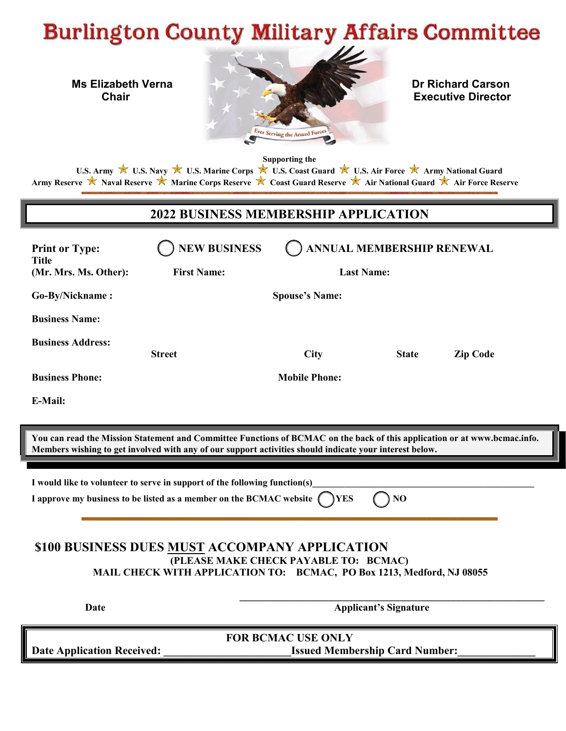# **Burlington County Military Affairs Committee**



**Supporting the**

U.S. Army **★** U.S. Navy ★ U.S. Marine Corps ★ U.S. Coast Guard ★ U.S. Air Force ★ Army National Guard Army Reserve **★** Naval Reserve ★ Marine Corps Reserve ★ Coast Guard Reserve ★ Air National Guard ★ Air Force Reserve

# **2022 BUSINESS MEMBERSHIP APPLICATION**

| <b>Print or Type:</b><br>Title<br>(Mr. Mrs. Ms. Other): | <b>NEW BUSINESS</b><br><b>First Name:</b> | ANNUAL MEMBERSHIP RENEWAL<br><b>Last Name:</b> |              |                 |
|---------------------------------------------------------|-------------------------------------------|------------------------------------------------|--------------|-----------------|
| Go-By/Nickname:                                         |                                           | <b>Spouse's Name:</b>                          |              |                 |
| <b>Business Name:</b>                                   |                                           |                                                |              |                 |
| <b>Business Address:</b>                                | <b>Street</b>                             | <b>City</b>                                    | <b>State</b> | <b>Zip Code</b> |
| <b>Business Phone:</b>                                  |                                           | <b>Mobile Phone:</b>                           |              |                 |
| E-Mail:                                                 |                                           |                                                |              |                 |

**You can read the Mission Statement and Committee Functions of BCMAC on the back of this application or at www.bcmac.info. Members wishing to get involved with any of our support activities should indicate your interest below.** 

 **\_\_\_\_\_\_\_\_\_\_\_\_\_\_\_\_\_\_\_\_\_\_\_\_\_\_\_\_\_\_\_\_\_\_\_\_\_\_\_\_\_\_\_\_\_\_\_\_\_\_\_\_\_\_\_\_\_\_\_\_** 

I would like to volunteer to serve in support of the following function(s)

**I** approve my business to be listed as a member on the BCMAC website  $\binom{ }{ }$  YES  $\binom{ }{ }$  NO

### **\$100 BUSINESS DUES MUST ACCOMPANY APPLICATION (PLEASE MAKE CHECK PAYABLE TO: BCMAC) MAIL CHECK WITH APPLICATION TO: BCMAC, PO Box 1213, Medford, NJ 08055**

**Date** Applicant's Signature

**FOR BCMAC USE ONLY**  Date Application Received: **We are also assumed Membership Card Number:**